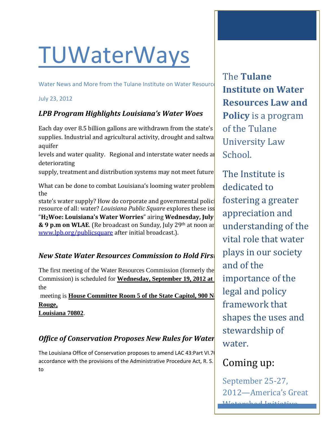# **TUWaterWays**

Water News and More from the Tulane Institute on Water Resource

#### July 23, 2012

#### *LPB Program Highlights Louisiana's Water Woes*

Each day over 8.5 billion gallons are withdrawn from the state's supplies. Industrial and agricultural activity, drought and saltwater integration aquifer

levels and water quality. Regional and interstate water needs and deteriorating

supply, treatment and distribution systems may not meet future

What can be done to combat Louisiana's looming water problem the

state's water supply? How do corporate and governmental polici resource of all: water? *Louisiana Public Square* explores these isseured only more only and more on "H<sub>2</sub>Woe: Louisiana's Water Worries" airing Wednesday, July **& 9 p.m on WLAE**. (Re broadcast on Sunday, July 29<sup>th</sup> at noon and [www.lpb.org/publicsquare](http://www.lpb.org/publicsquare) after initial broadcast.).

#### *New State Water Resources Commission to Hold Firs*

The first meeting of the Water Resources Commission (formerly the Commission) is scheduled for **Wednesday, September 19, 2012 at** the

**meeting is House Committee Room 5 of the State Capitol, 900 N Rouge,** 

**Louisiana 70802**.

### **Office of Conservation Proposes New Rules for Water**

The Louisiana Office of Conservation proposes to amend LAC 43:Part VI.7 accordance with the provisions of the Administrative Procedure Act, R. S. to

The **Tulane Institute on Water Resources Law and Policy** is a program of the Tulane University Law School.

The Institute is dedicated to fostering a greater appreciation and understanding of the vital role that water plays in our society and of the importance of the legal and policy framework that shapes the uses and stewardship of water.

### Coming up:

September 25-27, 2012—America's Great Watershed Initiative

Summit, St. Louis MO.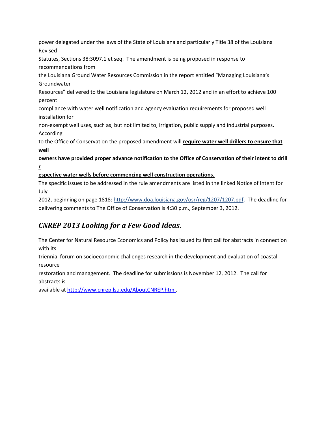power delegated under the laws of the State of Louisiana and particularly Title 38 of the Louisiana Revised

Statutes, Sections 38:3097.1 et seq. The amendment is being proposed in response to recommendations from

the Louisiana Ground Water Resources Commission in the report entitled "Managing Louisiana's Groundwater

Resources" delivered to the Louisiana legislature on March 12, 2012 and in an effort to achieve 100 percent

compliance with water well notification and agency evaluation requirements for proposed well installation for

non-exempt well uses, such as, but not limited to, irrigation, public supply and industrial purposes. According

to the Office of Conservation the proposed amendment will **require water well drillers to ensure that well**

**owners have provided proper advance notification to the Office of Conservation of their intent to drill r**

**espective water wells before commencing well construction operations.**

The specific issues to be addressed in the rule amendments are listed in the linked Notice of Intent for July

2012, beginning on page 1818: [http://www.doa.louisiana.gov/osr/reg/1207/1207.pdf.](http://www.doa.louisiana.gov/osr/reg/1207/1207.pdf) The deadline for delivering comments to The Office of Conservation is 4:30 p.m., September 3, 2012.

### *CNREP 2013 Looking for a Few Good Ideas*.

The Center for Natural Resource Economics and Policy has issued its first call for abstracts in connection with its

triennial forum on socioeconomic challenges research in the development and evaluation of coastal resource

restoration and management. The deadline for submissions is November 12, 2012. The call for abstracts is

available a[t http://www.cnrep.lsu.edu/AboutCNREP.html.](http://www.cnrep.lsu.edu/AboutCNREP.html)